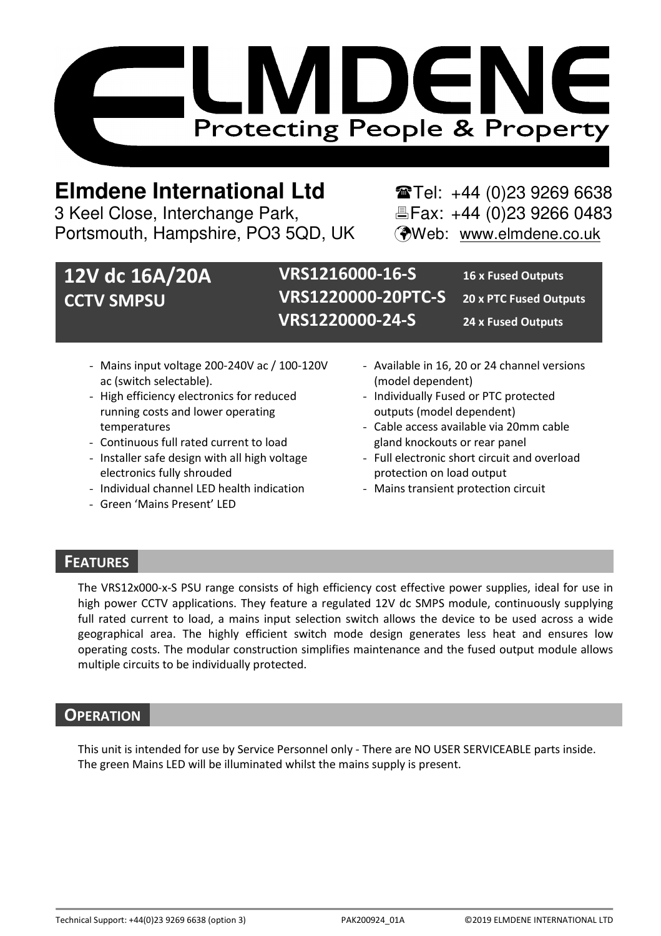

# **Elmdene International Ltd** Tel: +44 (0)23 9269 6638

3 Keel Close, Interchange Park, Electric Fax: +44 (0)23 9266 0483 Portsmouth, Hampshire, PO3 5QD, UK (Web: www.elmdene.co.uk

# **12V dc 16A/20A CCTV SMPSU**

**VRS1216000-16-S 16 x Fused Outputs VRS1220000-20PTC-S 20 x PTC Fused Outputs VRS1220000-24-S 24 x Fused Outputs** 

- Mains input voltage 200-240V ac / 100-120V ac (switch selectable).
- High efficiency electronics for reduced running costs and lower operating temperatures
- Continuous full rated current to load
- Installer safe design with all high voltage electronics fully shrouded
- Individual channel LED health indication
- Green 'Mains Present' LED
- Available in 16, 20 or 24 channel versions (model dependent)
- Individually Fused or PTC protected outputs (model dependent)
- Cable access available via 20mm cable gland knockouts or rear panel
- Full electronic short circuit and overload protection on load output
- Mains transient protection circuit

# **FEATURES**

The VRS12x000-x-S PSU range consists of high efficiency cost effective power supplies, ideal for use in high power CCTV applications. They feature a regulated 12V dc SMPS module, continuously supplying full rated current to load, a mains input selection switch allows the device to be used across a wide geographical area. The highly efficient switch mode design generates less heat and ensures low operating costs. The modular construction simplifies maintenance and the fused output module allows multiple circuits to be individually protected.

## **OPERATION**

This unit is intended for use by Service Personnel only - There are NO USER SERVICEABLE parts inside. The green Mains LED will be illuminated whilst the mains supply is present.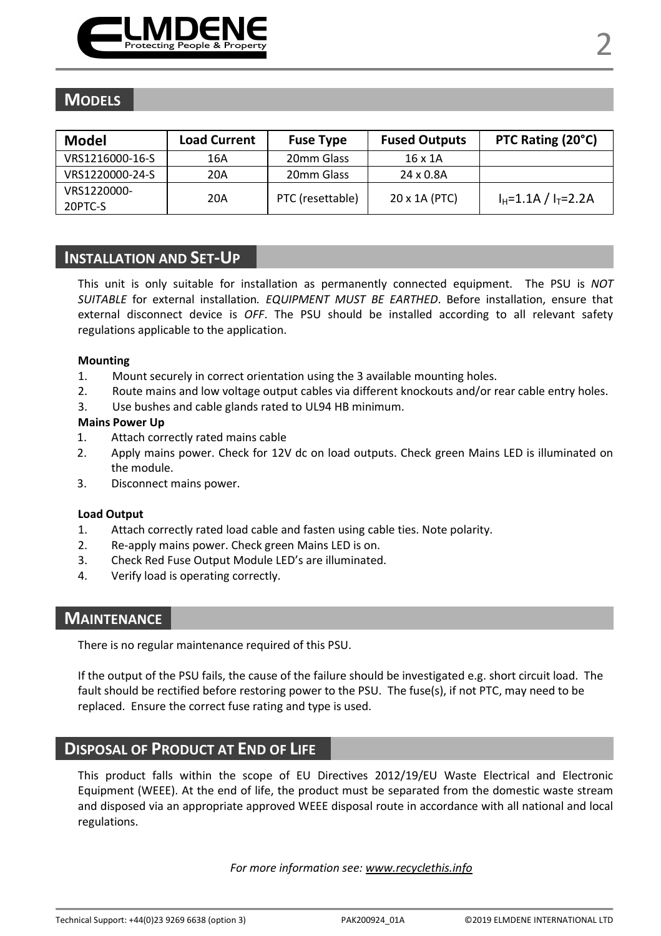

# **MODELS**

| Model           | <b>Load Current</b> | <b>Fuse Type</b> | <b>Fused Outputs</b> | PTC Rating (20°C)         |
|-----------------|---------------------|------------------|----------------------|---------------------------|
| VRS1216000-16-S | 16A                 | 20mm Glass       | $16 \times 1A$       |                           |
| VRS1220000-24-S | 20A                 | 20mm Glass       | 24 x 0.8A            |                           |
| VRS1220000-     | 20A                 |                  | 20 x 1A (PTC)        | $I_H = 1.1A / I_T = 2.2A$ |
| 20PTC-S         |                     | PTC (resettable) |                      |                           |

## **INSTALLATION AND SET-UP**

This unit is only suitable for installation as permanently connected equipment. The PSU is *NOT SUITABLE* for external installation*. EQUIPMENT MUST BE EARTHED*. Before installation, ensure that external disconnect device is *OFF*. The PSU should be installed according to all relevant safety regulations applicable to the application.

#### **Mounting**

- 1. Mount securely in correct orientation using the 3 available mounting holes.
- 2. Route mains and low voltage output cables via different knockouts and/or rear cable entry holes.
- 3. Use bushes and cable glands rated to UL94 HB minimum.

#### **Mains Power Up**

- 1. Attach correctly rated mains cable
- 2. Apply mains power. Check for 12V dc on load outputs. Check green Mains LED is illuminated on the module.
- 3. Disconnect mains power.

#### **Load Output**

- 1. Attach correctly rated load cable and fasten using cable ties. Note polarity.
- 2. Re-apply mains power. Check green Mains LED is on.
- 3. Check Red Fuse Output Module LED's are illuminated.
- 4. Verify load is operating correctly.

## **MAINTENANCE**

There is no regular maintenance required of this PSU.

If the output of the PSU fails, the cause of the failure should be investigated e.g. short circuit load. The fault should be rectified before restoring power to the PSU. The fuse(s), if not PTC, may need to be replaced. Ensure the correct fuse rating and type is used.

### **DISPOSAL OF PRODUCT AT END OF LIFE**

This product falls within the scope of EU Directives 2012/19/EU Waste Electrical and Electronic Equipment (WEEE). At the end of life, the product must be separated from the domestic waste stream and disposed via an appropriate approved WEEE disposal route in accordance with all national and local regulations.

*For more information see: www.recyclethis.info*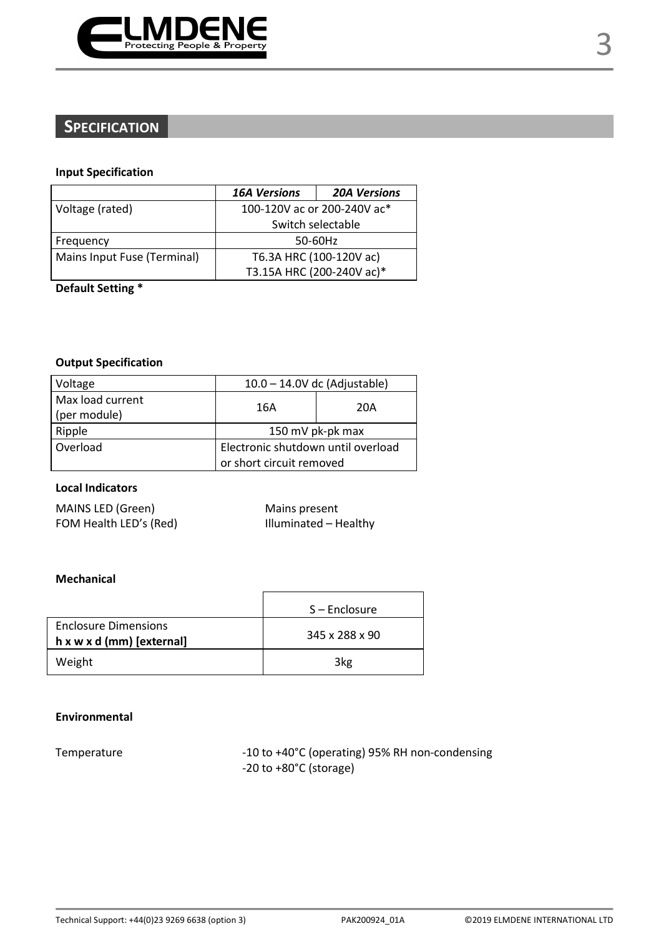

# **SPECIFICATION**

#### **Input Specification**

|                             | <b>16A Versions</b>         | <b>20A Versions</b> |
|-----------------------------|-----------------------------|---------------------|
| Voltage (rated)             | 100-120V ac or 200-240V ac* |                     |
|                             | Switch selectable           |                     |
| Frequency                   | 50-60Hz                     |                     |
| Mains Input Fuse (Terminal) | T6.3A HRC (100-120V ac)     |                     |
|                             | T3.15A HRC (200-240V ac)*   |                     |

**Default Setting \*** 

#### **Output Specification**

| Voltage                          | $10.0 - 14.0V$ dc (Adjustable)     |     |
|----------------------------------|------------------------------------|-----|
| Max load current<br>(per module) | 16A                                | 20A |
| Ripple                           | 150 mV pk-pk max                   |     |
| Overload                         | Electronic shutdown until overload |     |
|                                  | or short circuit removed           |     |

### **Local Indicators**

| MAINS LED (Green)      |
|------------------------|
| FOM Health LED's (Red) |

Mains present ) For all Health LIII III is a limit of the Health LIII in the Media of the Media of the Media of the Media of

## **Mechanical**

|                                                                      | S-Enclosure    |
|----------------------------------------------------------------------|----------------|
| <b>Enclosure Dimensions</b><br>$h \times w \times d$ (mm) [external] | 345 x 288 x 90 |
| Weight                                                               | 3kg            |

#### **Environmental**

Temperature  $-10$  to +40°C (operating) 95% RH non-condensing -20 to +80°C (storage)